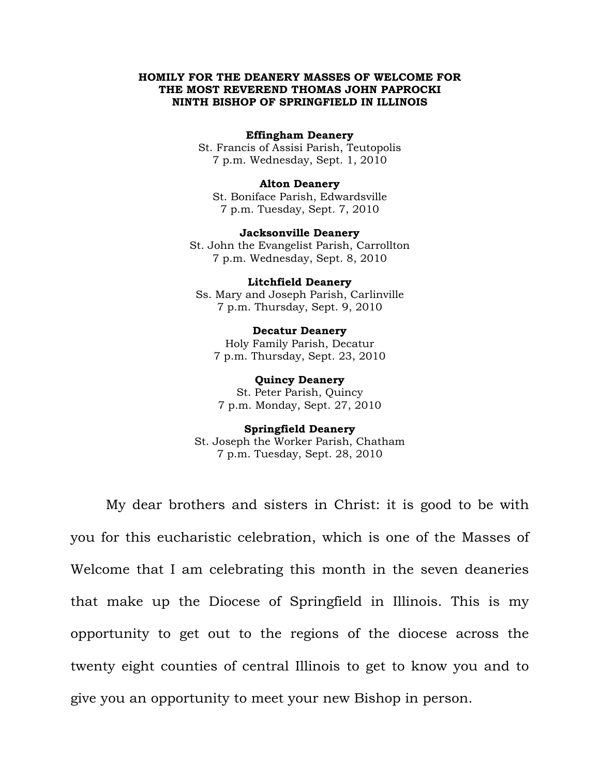# **HOMILY FOR THE DEANERY MASSES OF WELCOME FOR THE MOST REVEREND THOMAS JOHN PAPROCKI NINTH BISHOP OF SPRINGFIELD IN ILLINOIS**

# **Effingham Deanery**

St. Francis of Assisi Parish, Teutopolis 7 p.m. Wednesday, Sept. 1, 2010

# **Alton Deanery**

St. Boniface Parish, Edwardsville 7 p.m. Tuesday, Sept. 7, 2010

### **Jacksonville Deanery**

St. John the Evangelist Parish, Carrollton 7 p.m. Wednesday, Sept. 8, 2010

#### **Litchfield Deanery**

Ss. Mary and Joseph Parish, Carlinville 7 p.m. Thursday, Sept. 9, 2010

#### **Decatur Deanery**

Holy Family Parish, Decatur 7 p.m. Thursday, Sept. 23, 2010

### **Quincy Deanery**

St. Peter Parish, Quincy 7 p.m. Monday, Sept. 27, 2010

# **Springfield Deanery**

St. Joseph the Worker Parish, Chatham 7 p.m. Tuesday, Sept. 28, 2010

My dear brothers and sisters in Christ: it is good to be with you for this eucharistic celebration, which is one of the Masses of Welcome that I am celebrating this month in the seven deaneries that make up the Diocese of Springfield in Illinois. This is my opportunity to get out to the regions of the diocese across the twenty eight counties of central Illinois to get to know you and to give you an opportunity to meet your new Bishop in person.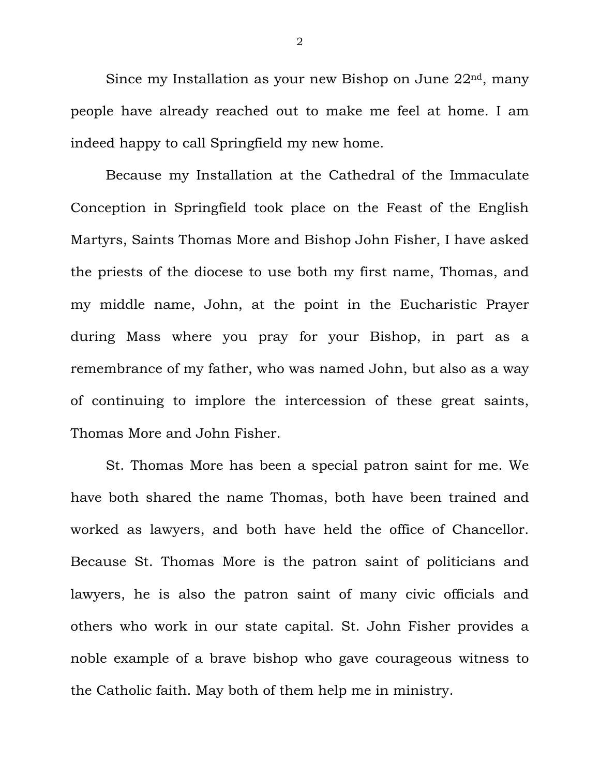Since my Installation as your new Bishop on June 22<sup>nd</sup>, many people have already reached out to make me feel at home. I am indeed happy to call Springfield my new home.

Because my Installation at the Cathedral of the Immaculate Conception in Springfield took place on the Feast of the English Martyrs, Saints Thomas More and Bishop John Fisher, I have asked the priests of the diocese to use both my first name, Thomas, and my middle name, John, at the point in the Eucharistic Prayer during Mass where you pray for your Bishop, in part as a remembrance of my father, who was named John, but also as a way of continuing to implore the intercession of these great saints, Thomas More and John Fisher.

St. Thomas More has been a special patron saint for me. We have both shared the name Thomas, both have been trained and worked as lawyers, and both have held the office of Chancellor. Because St. Thomas More is the patron saint of politicians and lawyers, he is also the patron saint of many civic officials and others who work in our state capital. St. John Fisher provides a noble example of a brave bishop who gave courageous witness to the Catholic faith. May both of them help me in ministry.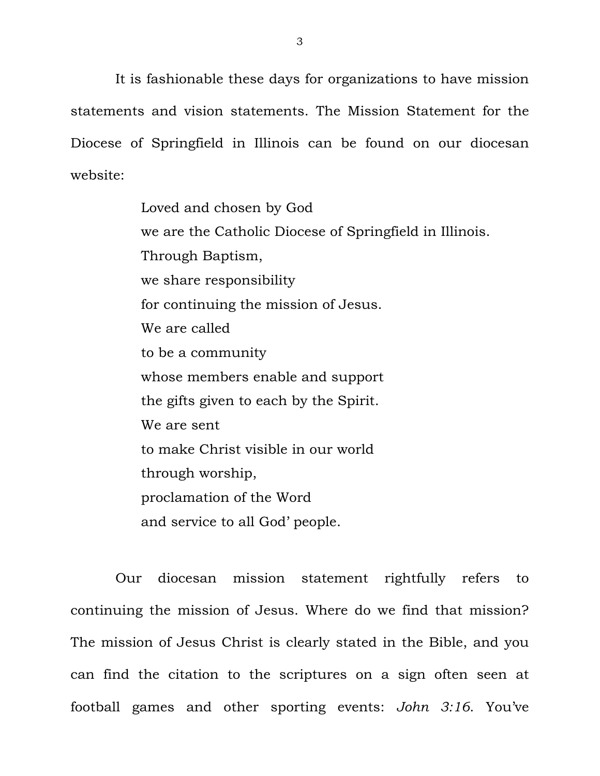It is fashionable these days for organizations to have mission statements and vision statements. The Mission Statement for the Diocese of Springfield in Illinois can be found on our diocesan website:

> Loved and chosen by God we are the Catholic Diocese of Springfield in Illinois. Through Baptism, we share responsibility for continuing the mission of Jesus. We are called to be a community whose members enable and support the gifts given to each by the Spirit. We are sent to make Christ visible in our world through worship, proclamation of the Word and service to all God' people.

 Our diocesan mission statement rightfully refers to continuing the mission of Jesus. Where do we find that mission? The mission of Jesus Christ is clearly stated in the Bible, and you can find the citation to the scriptures on a sign often seen at football games and other sporting events: *John 3:16*. You've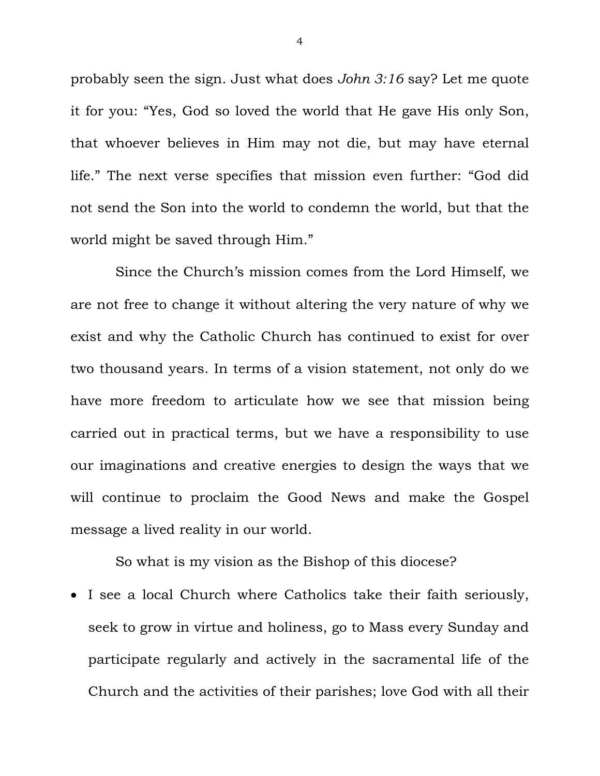probably seen the sign. Just what does *John 3:16* say? Let me quote it for you: "Yes, God so loved the world that He gave His only Son, that whoever believes in Him may not die, but may have eternal life." The next verse specifies that mission even further: "God did not send the Son into the world to condemn the world, but that the world might be saved through Him."

 Since the Church's mission comes from the Lord Himself, we are not free to change it without altering the very nature of why we exist and why the Catholic Church has continued to exist for over two thousand years. In terms of a vision statement, not only do we have more freedom to articulate how we see that mission being carried out in practical terms, but we have a responsibility to use our imaginations and creative energies to design the ways that we will continue to proclaim the Good News and make the Gospel message a lived reality in our world.

So what is my vision as the Bishop of this diocese?

 I see a local Church where Catholics take their faith seriously, seek to grow in virtue and holiness, go to Mass every Sunday and participate regularly and actively in the sacramental life of the Church and the activities of their parishes; love God with all their

4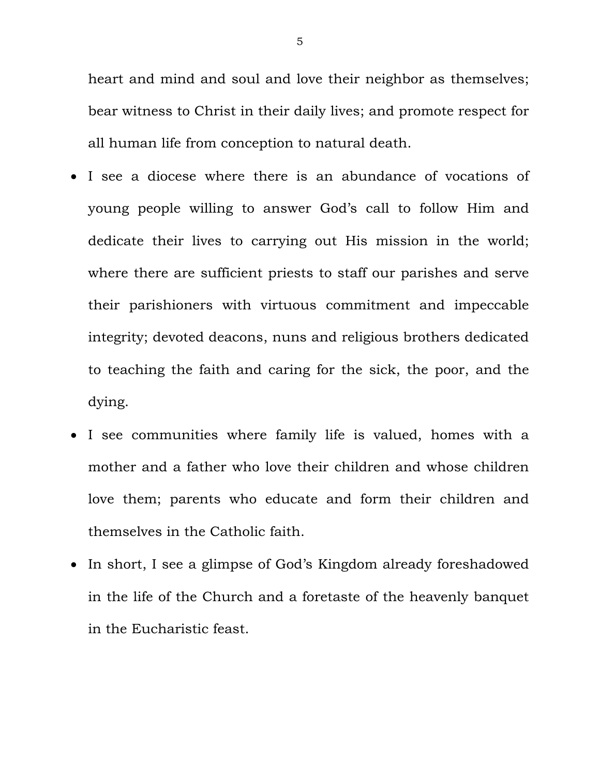heart and mind and soul and love their neighbor as themselves; bear witness to Christ in their daily lives; and promote respect for all human life from conception to natural death.

- I see a diocese where there is an abundance of vocations of young people willing to answer God's call to follow Him and dedicate their lives to carrying out His mission in the world; where there are sufficient priests to staff our parishes and serve their parishioners with virtuous commitment and impeccable integrity; devoted deacons, nuns and religious brothers dedicated to teaching the faith and caring for the sick, the poor, and the dying.
- I see communities where family life is valued, homes with a mother and a father who love their children and whose children love them; parents who educate and form their children and themselves in the Catholic faith.
- In short, I see a glimpse of God's Kingdom already foreshadowed in the life of the Church and a foretaste of the heavenly banquet in the Eucharistic feast.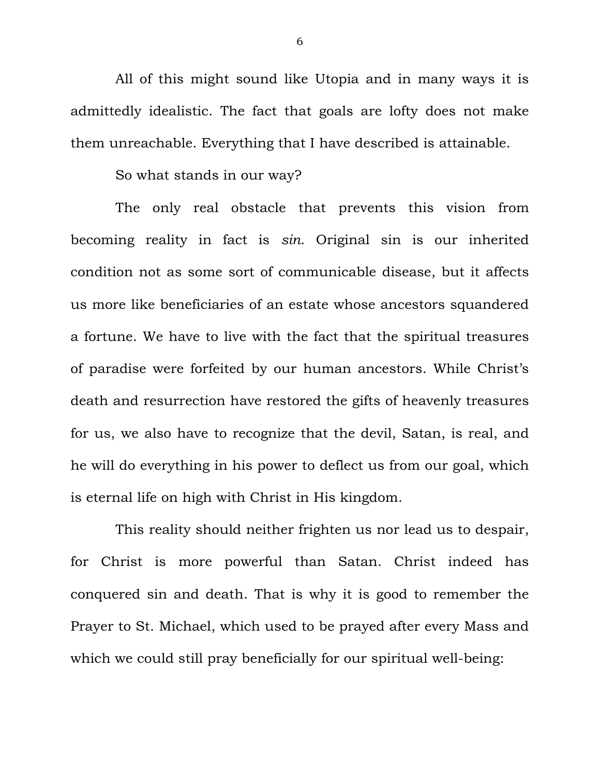All of this might sound like Utopia and in many ways it is admittedly idealistic. The fact that goals are lofty does not make them unreachable. Everything that I have described is attainable.

So what stands in our way?

 The only real obstacle that prevents this vision from becoming reality in fact is *sin*. Original sin is our inherited condition not as some sort of communicable disease, but it affects us more like beneficiaries of an estate whose ancestors squandered a fortune. We have to live with the fact that the spiritual treasures of paradise were forfeited by our human ancestors. While Christ's death and resurrection have restored the gifts of heavenly treasures for us, we also have to recognize that the devil, Satan, is real, and he will do everything in his power to deflect us from our goal, which is eternal life on high with Christ in His kingdom.

 This reality should neither frighten us nor lead us to despair, for Christ is more powerful than Satan. Christ indeed has conquered sin and death. That is why it is good to remember the Prayer to St. Michael, which used to be prayed after every Mass and which we could still pray beneficially for our spiritual well-being:

6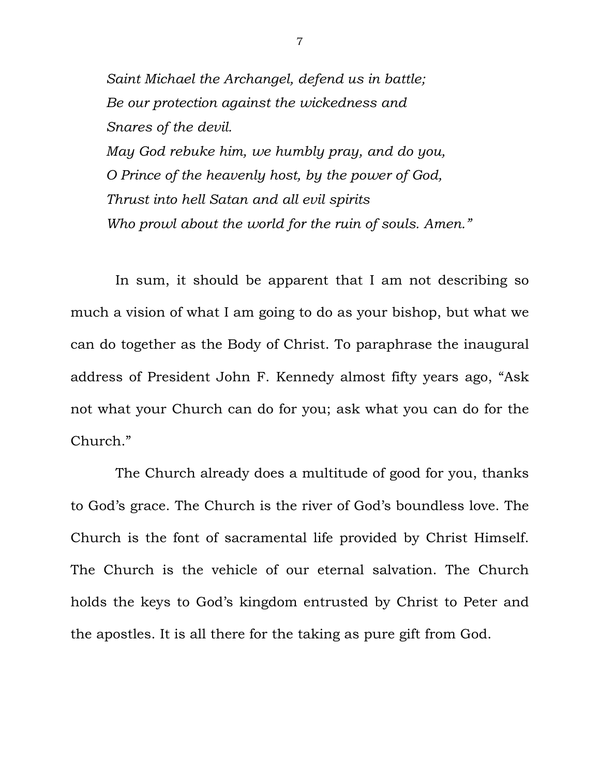*Saint Michael the Archangel, defend us in battle; Be our protection against the wickedness and Snares of the devil. May God rebuke him, we humbly pray, and do you, O Prince of the heavenly host, by the power of God, Thrust into hell Satan and all evil spirits Who prowl about the world for the ruin of souls. Amen."* 

 In sum, it should be apparent that I am not describing so much a vision of what I am going to do as your bishop, but what we can do together as the Body of Christ. To paraphrase the inaugural address of President John F. Kennedy almost fifty years ago, "Ask not what your Church can do for you; ask what you can do for the Church."

 The Church already does a multitude of good for you, thanks to God's grace. The Church is the river of God's boundless love. The Church is the font of sacramental life provided by Christ Himself. The Church is the vehicle of our eternal salvation. The Church holds the keys to God's kingdom entrusted by Christ to Peter and the apostles. It is all there for the taking as pure gift from God.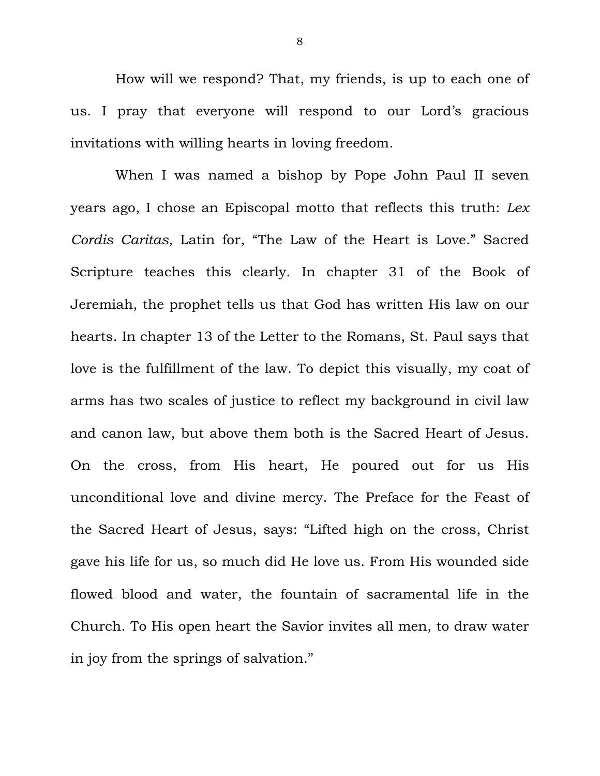How will we respond? That, my friends, is up to each one of us. I pray that everyone will respond to our Lord's gracious invitations with willing hearts in loving freedom.

 When I was named a bishop by Pope John Paul II seven years ago, I chose an Episcopal motto that reflects this truth: *Lex Cordis Caritas*, Latin for, "The Law of the Heart is Love." Sacred Scripture teaches this clearly. In chapter 31 of the Book of Jeremiah, the prophet tells us that God has written His law on our hearts. In chapter 13 of the Letter to the Romans, St. Paul says that love is the fulfillment of the law. To depict this visually, my coat of arms has two scales of justice to reflect my background in civil law and canon law, but above them both is the Sacred Heart of Jesus. On the cross, from His heart, He poured out for us His unconditional love and divine mercy. The Preface for the Feast of the Sacred Heart of Jesus, says: "Lifted high on the cross, Christ gave his life for us, so much did He love us. From His wounded side flowed blood and water, the fountain of sacramental life in the Church. To His open heart the Savior invites all men, to draw water in joy from the springs of salvation."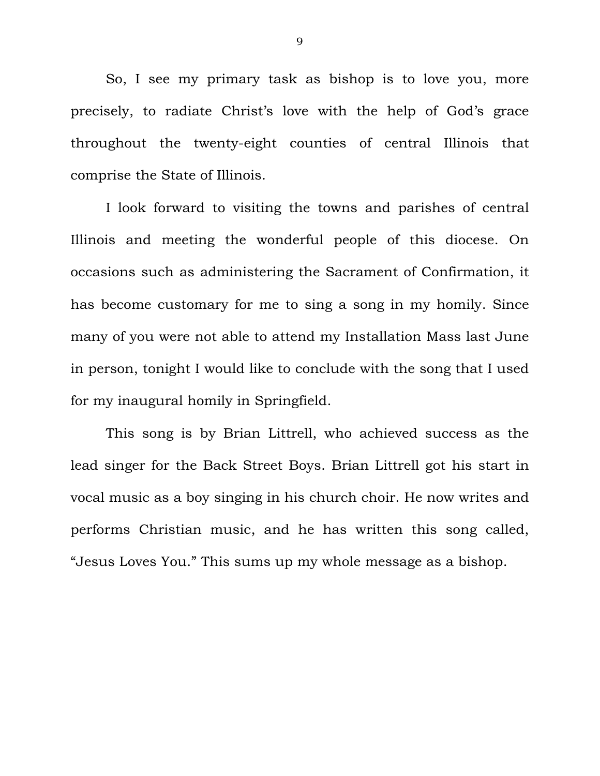So, I see my primary task as bishop is to love you, more precisely, to radiate Christ's love with the help of God's grace throughout the twenty-eight counties of central Illinois that comprise the State of Illinois.

 I look forward to visiting the towns and parishes of central Illinois and meeting the wonderful people of this diocese. On occasions such as administering the Sacrament of Confirmation, it has become customary for me to sing a song in my homily. Since many of you were not able to attend my Installation Mass last June in person, tonight I would like to conclude with the song that I used for my inaugural homily in Springfield.

 This song is by Brian Littrell, who achieved success as the lead singer for the Back Street Boys. Brian Littrell got his start in vocal music as a boy singing in his church choir. He now writes and performs Christian music, and he has written this song called, "Jesus Loves You." This sums up my whole message as a bishop.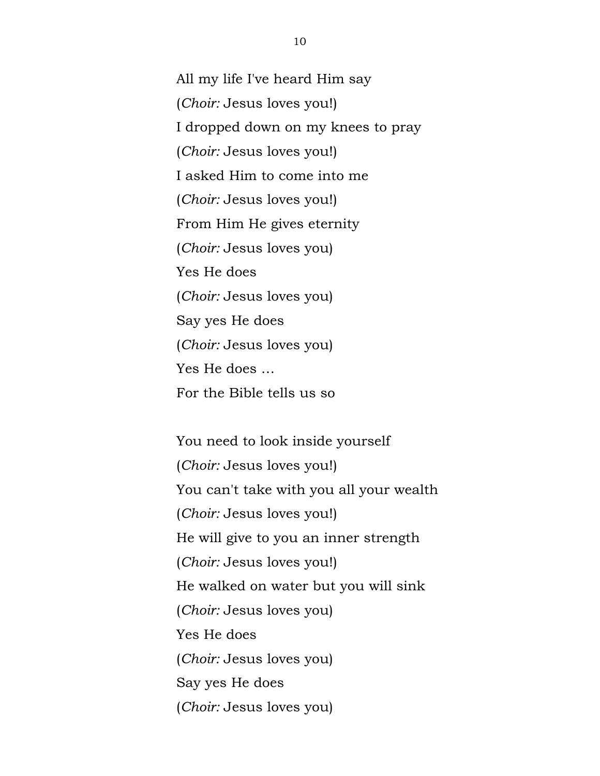All my life I've heard Him say (*Choir:* Jesus loves you!) I dropped down on my knees to pray (*Choir:* Jesus loves you!) I asked Him to come into me (*Choir:* Jesus loves you!) From Him He gives eternity (*Choir:* Jesus loves you) Yes He does (*Choir:* Jesus loves you) Say yes He does (*Choir:* Jesus loves you) Yes He does … For the Bible tells us so

You need to look inside yourself (*Choir:* Jesus loves you!) You can't take with you all your wealth (*Choir:* Jesus loves you!) He will give to you an inner strength (*Choir:* Jesus loves you!) He walked on water but you will sink (*Choir:* Jesus loves you) Yes He does (*Choir:* Jesus loves you) Say yes He does (*Choir:* Jesus loves you)